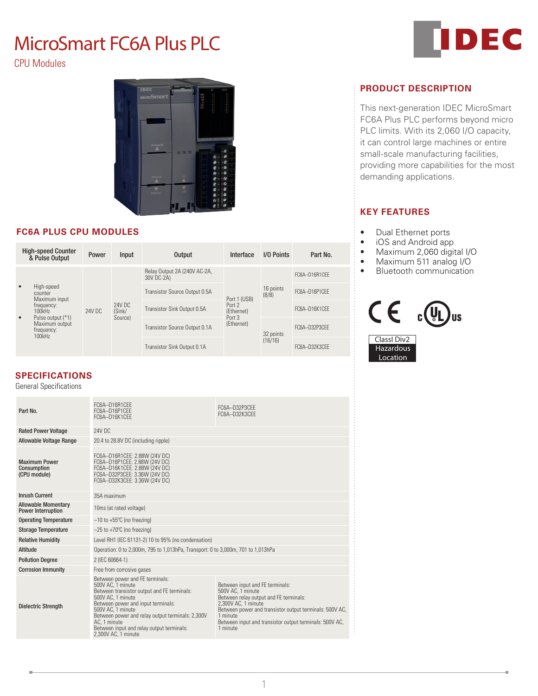# MicroSmart FC6A Plus PLC

CPU Modules



# **FC6A PLUS CPU MODULES**

| <b>High-speed Counter</b><br>& Pulse Output |                                                                                                                                            | Power                                 | Input | Output                                     | Interface                                                    | I/O Points           | Part No.      |
|---------------------------------------------|--------------------------------------------------------------------------------------------------------------------------------------------|---------------------------------------|-------|--------------------------------------------|--------------------------------------------------------------|----------------------|---------------|
|                                             |                                                                                                                                            | 24V DC<br>24V DC<br>(Sink/<br>Source) |       | Relay Output 2A (240V AC-2A,<br>30V DC-2A) | Port 1 (USB)<br>Port 2<br>(Ethernet)<br>Port 3<br>(Ethernet) | 16 points<br>(8/8)   | FC6A-D16R1CFF |
| $\bullet$                                   | High-speed<br>counter<br>Maximum input<br>frequency:<br>100kHz<br>Pulse output (*1)<br>$\bullet$<br>Maximum output<br>frequency:<br>100kHz |                                       |       | Transistor Source Output 0.5A              |                                                              |                      | FC6A-D16P1CFF |
|                                             |                                                                                                                                            |                                       |       | Transistor Sink Output 0.5A                |                                                              |                      | FC6A-D16K1CFF |
|                                             |                                                                                                                                            |                                       |       | Transistor Source Output 0.1A              |                                                              | 32 points<br>(16/16) | FC6A-D32P3CFF |
|                                             |                                                                                                                                            |                                       |       | Transistor Sink Output 0.1A                |                                                              |                      | FC6A-D32K3CFF |

# **SPECIFICATIONS**

General Specifications

| Part No.                                                | FC6A-D16R1CFF<br>FC6A-D16P1CEE<br>FC6A-D16K1CFF                                                                                                                                                                                                                                                                             | FC6A-D32P3CFF<br>FC6A-D32K3CFF                                                                                                                                                                                                                                      |  |
|---------------------------------------------------------|-----------------------------------------------------------------------------------------------------------------------------------------------------------------------------------------------------------------------------------------------------------------------------------------------------------------------------|---------------------------------------------------------------------------------------------------------------------------------------------------------------------------------------------------------------------------------------------------------------------|--|
| <b>Rated Power Voltage</b>                              | 24V DC                                                                                                                                                                                                                                                                                                                      |                                                                                                                                                                                                                                                                     |  |
| <b>Allowable Voltage Range</b>                          | 20.4 to 28.8V DC (including ripple)                                                                                                                                                                                                                                                                                         |                                                                                                                                                                                                                                                                     |  |
| <b>Maximum Power</b><br>Consumption<br>(CPU module)     | FC6A-D16R1CEE: 2.88W (24V DC)<br>FC6A-D16P1CEE: 2.88W (24V DC)<br>FC6A-D16K1CEE: 2.88W (24V DC)<br>FC6A-D32P3CEE: 3.36W (24V DC)<br>FC6A-D32K3CEE: 3.36W (24V DC)                                                                                                                                                           |                                                                                                                                                                                                                                                                     |  |
| <b>Inrush Current</b>                                   | 35A maximum                                                                                                                                                                                                                                                                                                                 |                                                                                                                                                                                                                                                                     |  |
| <b>Allowable Momentary</b><br><b>Power Interruption</b> | 10ms (at rated voltage)                                                                                                                                                                                                                                                                                                     |                                                                                                                                                                                                                                                                     |  |
| <b>Operating Temperature</b>                            | $-10$ to $+55^{\circ}$ C (no freezing)                                                                                                                                                                                                                                                                                      |                                                                                                                                                                                                                                                                     |  |
| <b>Storage Temperature</b>                              | $-25$ to $+70^{\circ}$ C (no freezing)                                                                                                                                                                                                                                                                                      |                                                                                                                                                                                                                                                                     |  |
| <b>Relative Humidity</b>                                | Level RH1 (IEC 61131-2) 10 to 95% (no condensation)                                                                                                                                                                                                                                                                         |                                                                                                                                                                                                                                                                     |  |
| Altitude                                                | Operation: 0 to 2,000m, 795 to 1,013hPa, Transport: 0 to 3,000m, 701 to 1,013hPa                                                                                                                                                                                                                                            |                                                                                                                                                                                                                                                                     |  |
| <b>Pollution Degree</b>                                 | 2 (IEC 60664-1)                                                                                                                                                                                                                                                                                                             |                                                                                                                                                                                                                                                                     |  |
| <b>Corrosion Immunity</b>                               | Free from corrosive gases                                                                                                                                                                                                                                                                                                   |                                                                                                                                                                                                                                                                     |  |
| <b>Dielectric Strength</b>                              | Between power and FE terminals:<br>500V AC. 1 minute<br>Between transistor output and FE terminals:<br>500V AC. 1 minute<br>Between power and input terminals:<br>500V AC. 1 minute<br>Between power and relay output terminals: 2,300V<br>AC. 1 minute<br>Between input and relay output terminals:<br>2.300V AC. 1 minute | Between input and FE terminals:<br>500V AC. 1 minute<br>Between relay output and FE terminals:<br>2.300V AC. 1 minute<br>Between power and transistor output terminals: 500V AC,<br>1 minute<br>Between input and transistor output terminals: 500V AC,<br>1 minute |  |



# **PRODUCT DESCRIPTION**

This next-generation IDEC MicroSmart FC6A Plus PLC performs beyond micro PLC limits. With its 2,060 I/O capacity, it can control large machines or entire small-scale manufacturing facilities, providing more capabilities for the most demanding applications.

# **KEY FEATURES**

- Dual Ethernet ports
- iOS and Android app
- Maximum 2,060 digital I/O
- Maximum 511 analog I/O
- Bluetooth communication



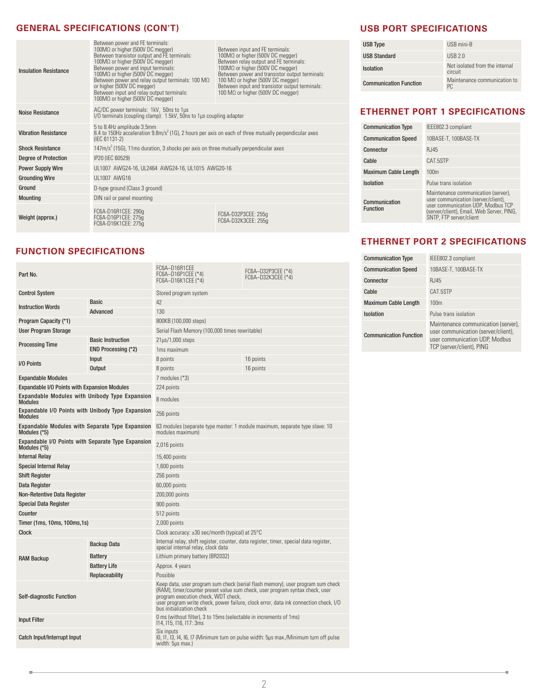#### **GENERAL SPECIFICATIONS (CON'T)**

| <b>Insulation Resistance</b> | Between power and FE terminals:<br>100MΩ or higher (500V DC megger)<br>Between transistor output and FE terminals:<br>$100\text{M}\Omega$ or higher (500V DC megger)<br>Between power and input terminals:<br>$100\text{M}\Omega$ or higher (500V DC megger)<br>Between power and relay output terminals: 100 MQ<br>or higher (500V DC megger)<br>Between input and relay output terminals:<br>100MΩ or higher (500V DC megger) | Between input and FE terminals:<br>100 $M\Omega$ or higher (500V DC megger)<br>Between relay output and FE terminals:<br>100 $M\Omega$ or higher (500V DC megger)<br>Between power and transistor output terminals:<br>100 M $\Omega$ or higher (500V DC megger)<br>Between input and transistor output terminals:<br>100 $M\Omega$ or higher (500V DC megger) |  |  |
|------------------------------|---------------------------------------------------------------------------------------------------------------------------------------------------------------------------------------------------------------------------------------------------------------------------------------------------------------------------------------------------------------------------------------------------------------------------------|----------------------------------------------------------------------------------------------------------------------------------------------------------------------------------------------------------------------------------------------------------------------------------------------------------------------------------------------------------------|--|--|
| Noise Resistance             | AC/DC power terminals: 1kV, 50ns to 1µs<br>I/O terminals (coupling clamp): 1.5kV, 50ns to 1µs coupling adapter                                                                                                                                                                                                                                                                                                                  |                                                                                                                                                                                                                                                                                                                                                                |  |  |
| <b>Vibration Resistance</b>  | 5 to 8.4Hz amplitude 3.5mm<br>8.4 to 150Hz acceleration 9.8m/s <sup>2</sup> (1G), 2 hours per axis on each of three mutually perpendicular axes<br>(IEC 61131-2)                                                                                                                                                                                                                                                                |                                                                                                                                                                                                                                                                                                                                                                |  |  |
| <b>Shock Resistance</b>      | $147m/s2$ (15G), 11ms duration, 3 shocks per axis on three mutually perpendicular axes                                                                                                                                                                                                                                                                                                                                          |                                                                                                                                                                                                                                                                                                                                                                |  |  |
| <b>Degree of Protection</b>  | IP20 (IEC 60529)                                                                                                                                                                                                                                                                                                                                                                                                                |                                                                                                                                                                                                                                                                                                                                                                |  |  |
| <b>Power Supply Wire</b>     | UL1007 AWG24-16, UL2464 AWG24-16, UL1015 AWG20-16                                                                                                                                                                                                                                                                                                                                                                               |                                                                                                                                                                                                                                                                                                                                                                |  |  |
| <b>Grounding Wire</b>        | UL1007 AWG16                                                                                                                                                                                                                                                                                                                                                                                                                    |                                                                                                                                                                                                                                                                                                                                                                |  |  |
| Ground                       | D-type ground (Class 3 ground)                                                                                                                                                                                                                                                                                                                                                                                                  |                                                                                                                                                                                                                                                                                                                                                                |  |  |
| <b>Mounting</b>              | DIN rail or panel mounting                                                                                                                                                                                                                                                                                                                                                                                                      |                                                                                                                                                                                                                                                                                                                                                                |  |  |
| Weight (approx.)             | FC6A-D16R1CEE: 290g<br>FC6A-D16P1CEE: 275q<br>FC6A-D16K1CEE: 275g                                                                                                                                                                                                                                                                                                                                                               | FC6A-D32P3CEE: 255q<br>FC6A-D32K3CEE: 255q                                                                                                                                                                                                                                                                                                                     |  |  |

# **FUNCTION SPECIFICATIONS**

| <b>Control System</b><br>Stored program system<br><b>Basic</b><br>42<br><b>Instruction Words</b><br>Advanced<br>130<br>Program Capacity (*1)<br>800KB (100,000 steps)<br>User Program Storage<br>Serial Flash Memory (100,000 times rewritable)<br><b>Basic Instruction</b><br>$21\mu s/1,000$ steps<br><b>Processing Time</b><br>END Processing (*2)<br>1ms maximum<br>Input<br>8 points<br>16 points<br>I/O Points<br><b>Output</b><br>8 points<br>16 points<br><b>Expandable Modules</b><br>7 modules (*3)<br><b>Expandable I/O Points with Expansion Modules</b><br>224 points<br>Expandable Modules with Unibody Type Expansion<br>8 modules<br><b>Modules</b><br>Expandable I/O Points with Unibody Type Expansion<br>256 points<br><b>Modules</b><br><b>Expandable Modules with Separate Type Expansion</b><br>63 modules (separate type master: 1 module maximum, separate type slave: 10<br>modules maximum)<br>Modules (*5)<br>Expandable I/O Points with Separate Type Expansion<br>2,016 points<br>Modules (*5)<br><b>Internal Relay</b><br>15,400 points<br><b>Special Internal Relay</b><br>1,600 points<br><b>Shift Register</b><br>256 points<br>Data Register<br>60,000 points<br>Non-Retentive Data Register<br>200,000 points<br>900 points<br><b>Special Data Register</b><br>Counter<br>512 points<br>Timer (1ms, 10ms, 100ms, 1s)<br>2,000 points<br>Clock accuracy: $\pm 30$ sec/month (typical) at 25 $\degree$ C<br><b>Clock</b><br>Internal relay, shift register, counter, data register, timer, special data register,<br>Backup Data<br>special internal relay, clock data<br><b>Battery</b><br>Lithium primary battery (BR2032)<br><b>RAM Backup</b><br><b>Battery Life</b><br>Approx. 4 years<br>Possible<br>Replaceability<br>Keep data, user program sum check (serial flash memory), user program sum check<br>(RAM), timer/counter preset value sum check, user program syntax check, user<br><b>Self-diagnostic Function</b><br>program execution check, WDT check,<br>user program write check, power failure, clock error, data ink connection check, I/O<br>bus initialization check<br>0 ms (without filter), 3 to 15ms (selectable in increments of 1ms)<br><b>Input Filter</b><br>114, 115, 116, 117: 3ms<br>Six inputs<br>Catch Input/Interrupt Input<br>10, 11, 13, 14, 16, 17 (Minimum turn on pulse width: 5µs max./Minimum turn off pulse<br>width: 5µs max.) | Part No. |  | FC6A-D16R1CEE<br>FC6A-D16P1CEE (*4)<br>FC6A-D16K1CEE (*4) | FC6A-D32P3CEE (*4)<br>FC6A-D32K3CEE (*4) |  |
|--------------------------------------------------------------------------------------------------------------------------------------------------------------------------------------------------------------------------------------------------------------------------------------------------------------------------------------------------------------------------------------------------------------------------------------------------------------------------------------------------------------------------------------------------------------------------------------------------------------------------------------------------------------------------------------------------------------------------------------------------------------------------------------------------------------------------------------------------------------------------------------------------------------------------------------------------------------------------------------------------------------------------------------------------------------------------------------------------------------------------------------------------------------------------------------------------------------------------------------------------------------------------------------------------------------------------------------------------------------------------------------------------------------------------------------------------------------------------------------------------------------------------------------------------------------------------------------------------------------------------------------------------------------------------------------------------------------------------------------------------------------------------------------------------------------------------------------------------------------------------------------------------------------------------------------------------------------------------------------------------------------------------------------------------------------------------------------------------------------------------------------------------------------------------------------------------------------------------------------------------------------------------------------------------------------------------------------------------------------------------------------------------------------|----------|--|-----------------------------------------------------------|------------------------------------------|--|
|                                                                                                                                                                                                                                                                                                                                                                                                                                                                                                                                                                                                                                                                                                                                                                                                                                                                                                                                                                                                                                                                                                                                                                                                                                                                                                                                                                                                                                                                                                                                                                                                                                                                                                                                                                                                                                                                                                                                                                                                                                                                                                                                                                                                                                                                                                                                                                                                              |          |  |                                                           |                                          |  |
|                                                                                                                                                                                                                                                                                                                                                                                                                                                                                                                                                                                                                                                                                                                                                                                                                                                                                                                                                                                                                                                                                                                                                                                                                                                                                                                                                                                                                                                                                                                                                                                                                                                                                                                                                                                                                                                                                                                                                                                                                                                                                                                                                                                                                                                                                                                                                                                                              |          |  |                                                           |                                          |  |
|                                                                                                                                                                                                                                                                                                                                                                                                                                                                                                                                                                                                                                                                                                                                                                                                                                                                                                                                                                                                                                                                                                                                                                                                                                                                                                                                                                                                                                                                                                                                                                                                                                                                                                                                                                                                                                                                                                                                                                                                                                                                                                                                                                                                                                                                                                                                                                                                              |          |  |                                                           |                                          |  |
|                                                                                                                                                                                                                                                                                                                                                                                                                                                                                                                                                                                                                                                                                                                                                                                                                                                                                                                                                                                                                                                                                                                                                                                                                                                                                                                                                                                                                                                                                                                                                                                                                                                                                                                                                                                                                                                                                                                                                                                                                                                                                                                                                                                                                                                                                                                                                                                                              |          |  |                                                           |                                          |  |
|                                                                                                                                                                                                                                                                                                                                                                                                                                                                                                                                                                                                                                                                                                                                                                                                                                                                                                                                                                                                                                                                                                                                                                                                                                                                                                                                                                                                                                                                                                                                                                                                                                                                                                                                                                                                                                                                                                                                                                                                                                                                                                                                                                                                                                                                                                                                                                                                              |          |  |                                                           |                                          |  |
|                                                                                                                                                                                                                                                                                                                                                                                                                                                                                                                                                                                                                                                                                                                                                                                                                                                                                                                                                                                                                                                                                                                                                                                                                                                                                                                                                                                                                                                                                                                                                                                                                                                                                                                                                                                                                                                                                                                                                                                                                                                                                                                                                                                                                                                                                                                                                                                                              |          |  |                                                           |                                          |  |
|                                                                                                                                                                                                                                                                                                                                                                                                                                                                                                                                                                                                                                                                                                                                                                                                                                                                                                                                                                                                                                                                                                                                                                                                                                                                                                                                                                                                                                                                                                                                                                                                                                                                                                                                                                                                                                                                                                                                                                                                                                                                                                                                                                                                                                                                                                                                                                                                              |          |  |                                                           |                                          |  |
|                                                                                                                                                                                                                                                                                                                                                                                                                                                                                                                                                                                                                                                                                                                                                                                                                                                                                                                                                                                                                                                                                                                                                                                                                                                                                                                                                                                                                                                                                                                                                                                                                                                                                                                                                                                                                                                                                                                                                                                                                                                                                                                                                                                                                                                                                                                                                                                                              |          |  |                                                           |                                          |  |
|                                                                                                                                                                                                                                                                                                                                                                                                                                                                                                                                                                                                                                                                                                                                                                                                                                                                                                                                                                                                                                                                                                                                                                                                                                                                                                                                                                                                                                                                                                                                                                                                                                                                                                                                                                                                                                                                                                                                                                                                                                                                                                                                                                                                                                                                                                                                                                                                              |          |  |                                                           |                                          |  |
|                                                                                                                                                                                                                                                                                                                                                                                                                                                                                                                                                                                                                                                                                                                                                                                                                                                                                                                                                                                                                                                                                                                                                                                                                                                                                                                                                                                                                                                                                                                                                                                                                                                                                                                                                                                                                                                                                                                                                                                                                                                                                                                                                                                                                                                                                                                                                                                                              |          |  |                                                           |                                          |  |
|                                                                                                                                                                                                                                                                                                                                                                                                                                                                                                                                                                                                                                                                                                                                                                                                                                                                                                                                                                                                                                                                                                                                                                                                                                                                                                                                                                                                                                                                                                                                                                                                                                                                                                                                                                                                                                                                                                                                                                                                                                                                                                                                                                                                                                                                                                                                                                                                              |          |  |                                                           |                                          |  |
|                                                                                                                                                                                                                                                                                                                                                                                                                                                                                                                                                                                                                                                                                                                                                                                                                                                                                                                                                                                                                                                                                                                                                                                                                                                                                                                                                                                                                                                                                                                                                                                                                                                                                                                                                                                                                                                                                                                                                                                                                                                                                                                                                                                                                                                                                                                                                                                                              |          |  |                                                           |                                          |  |
|                                                                                                                                                                                                                                                                                                                                                                                                                                                                                                                                                                                                                                                                                                                                                                                                                                                                                                                                                                                                                                                                                                                                                                                                                                                                                                                                                                                                                                                                                                                                                                                                                                                                                                                                                                                                                                                                                                                                                                                                                                                                                                                                                                                                                                                                                                                                                                                                              |          |  |                                                           |                                          |  |
|                                                                                                                                                                                                                                                                                                                                                                                                                                                                                                                                                                                                                                                                                                                                                                                                                                                                                                                                                                                                                                                                                                                                                                                                                                                                                                                                                                                                                                                                                                                                                                                                                                                                                                                                                                                                                                                                                                                                                                                                                                                                                                                                                                                                                                                                                                                                                                                                              |          |  |                                                           |                                          |  |
|                                                                                                                                                                                                                                                                                                                                                                                                                                                                                                                                                                                                                                                                                                                                                                                                                                                                                                                                                                                                                                                                                                                                                                                                                                                                                                                                                                                                                                                                                                                                                                                                                                                                                                                                                                                                                                                                                                                                                                                                                                                                                                                                                                                                                                                                                                                                                                                                              |          |  |                                                           |                                          |  |
|                                                                                                                                                                                                                                                                                                                                                                                                                                                                                                                                                                                                                                                                                                                                                                                                                                                                                                                                                                                                                                                                                                                                                                                                                                                                                                                                                                                                                                                                                                                                                                                                                                                                                                                                                                                                                                                                                                                                                                                                                                                                                                                                                                                                                                                                                                                                                                                                              |          |  |                                                           |                                          |  |
|                                                                                                                                                                                                                                                                                                                                                                                                                                                                                                                                                                                                                                                                                                                                                                                                                                                                                                                                                                                                                                                                                                                                                                                                                                                                                                                                                                                                                                                                                                                                                                                                                                                                                                                                                                                                                                                                                                                                                                                                                                                                                                                                                                                                                                                                                                                                                                                                              |          |  |                                                           |                                          |  |
|                                                                                                                                                                                                                                                                                                                                                                                                                                                                                                                                                                                                                                                                                                                                                                                                                                                                                                                                                                                                                                                                                                                                                                                                                                                                                                                                                                                                                                                                                                                                                                                                                                                                                                                                                                                                                                                                                                                                                                                                                                                                                                                                                                                                                                                                                                                                                                                                              |          |  |                                                           |                                          |  |
|                                                                                                                                                                                                                                                                                                                                                                                                                                                                                                                                                                                                                                                                                                                                                                                                                                                                                                                                                                                                                                                                                                                                                                                                                                                                                                                                                                                                                                                                                                                                                                                                                                                                                                                                                                                                                                                                                                                                                                                                                                                                                                                                                                                                                                                                                                                                                                                                              |          |  |                                                           |                                          |  |
|                                                                                                                                                                                                                                                                                                                                                                                                                                                                                                                                                                                                                                                                                                                                                                                                                                                                                                                                                                                                                                                                                                                                                                                                                                                                                                                                                                                                                                                                                                                                                                                                                                                                                                                                                                                                                                                                                                                                                                                                                                                                                                                                                                                                                                                                                                                                                                                                              |          |  |                                                           |                                          |  |
|                                                                                                                                                                                                                                                                                                                                                                                                                                                                                                                                                                                                                                                                                                                                                                                                                                                                                                                                                                                                                                                                                                                                                                                                                                                                                                                                                                                                                                                                                                                                                                                                                                                                                                                                                                                                                                                                                                                                                                                                                                                                                                                                                                                                                                                                                                                                                                                                              |          |  |                                                           |                                          |  |
|                                                                                                                                                                                                                                                                                                                                                                                                                                                                                                                                                                                                                                                                                                                                                                                                                                                                                                                                                                                                                                                                                                                                                                                                                                                                                                                                                                                                                                                                                                                                                                                                                                                                                                                                                                                                                                                                                                                                                                                                                                                                                                                                                                                                                                                                                                                                                                                                              |          |  |                                                           |                                          |  |
|                                                                                                                                                                                                                                                                                                                                                                                                                                                                                                                                                                                                                                                                                                                                                                                                                                                                                                                                                                                                                                                                                                                                                                                                                                                                                                                                                                                                                                                                                                                                                                                                                                                                                                                                                                                                                                                                                                                                                                                                                                                                                                                                                                                                                                                                                                                                                                                                              |          |  |                                                           |                                          |  |
|                                                                                                                                                                                                                                                                                                                                                                                                                                                                                                                                                                                                                                                                                                                                                                                                                                                                                                                                                                                                                                                                                                                                                                                                                                                                                                                                                                                                                                                                                                                                                                                                                                                                                                                                                                                                                                                                                                                                                                                                                                                                                                                                                                                                                                                                                                                                                                                                              |          |  |                                                           |                                          |  |
|                                                                                                                                                                                                                                                                                                                                                                                                                                                                                                                                                                                                                                                                                                                                                                                                                                                                                                                                                                                                                                                                                                                                                                                                                                                                                                                                                                                                                                                                                                                                                                                                                                                                                                                                                                                                                                                                                                                                                                                                                                                                                                                                                                                                                                                                                                                                                                                                              |          |  |                                                           |                                          |  |
|                                                                                                                                                                                                                                                                                                                                                                                                                                                                                                                                                                                                                                                                                                                                                                                                                                                                                                                                                                                                                                                                                                                                                                                                                                                                                                                                                                                                                                                                                                                                                                                                                                                                                                                                                                                                                                                                                                                                                                                                                                                                                                                                                                                                                                                                                                                                                                                                              |          |  |                                                           |                                          |  |
|                                                                                                                                                                                                                                                                                                                                                                                                                                                                                                                                                                                                                                                                                                                                                                                                                                                                                                                                                                                                                                                                                                                                                                                                                                                                                                                                                                                                                                                                                                                                                                                                                                                                                                                                                                                                                                                                                                                                                                                                                                                                                                                                                                                                                                                                                                                                                                                                              |          |  |                                                           |                                          |  |
|                                                                                                                                                                                                                                                                                                                                                                                                                                                                                                                                                                                                                                                                                                                                                                                                                                                                                                                                                                                                                                                                                                                                                                                                                                                                                                                                                                                                                                                                                                                                                                                                                                                                                                                                                                                                                                                                                                                                                                                                                                                                                                                                                                                                                                                                                                                                                                                                              |          |  |                                                           |                                          |  |
|                                                                                                                                                                                                                                                                                                                                                                                                                                                                                                                                                                                                                                                                                                                                                                                                                                                                                                                                                                                                                                                                                                                                                                                                                                                                                                                                                                                                                                                                                                                                                                                                                                                                                                                                                                                                                                                                                                                                                                                                                                                                                                                                                                                                                                                                                                                                                                                                              |          |  |                                                           |                                          |  |
|                                                                                                                                                                                                                                                                                                                                                                                                                                                                                                                                                                                                                                                                                                                                                                                                                                                                                                                                                                                                                                                                                                                                                                                                                                                                                                                                                                                                                                                                                                                                                                                                                                                                                                                                                                                                                                                                                                                                                                                                                                                                                                                                                                                                                                                                                                                                                                                                              |          |  |                                                           |                                          |  |
|                                                                                                                                                                                                                                                                                                                                                                                                                                                                                                                                                                                                                                                                                                                                                                                                                                                                                                                                                                                                                                                                                                                                                                                                                                                                                                                                                                                                                                                                                                                                                                                                                                                                                                                                                                                                                                                                                                                                                                                                                                                                                                                                                                                                                                                                                                                                                                                                              |          |  |                                                           |                                          |  |

#### **USB PORT SPECIFICATIONS**

| USB Type                      | USB mini-B                                |
|-------------------------------|-------------------------------------------|
| <b>USB Standard</b>           | USB 2.0                                   |
| <b>Isolation</b>              | Not isolated from the internal<br>circuit |
| <b>Communication Function</b> | Maintenance communication to<br>Pſ.       |

# **ETHERNET PORT 1 SPECIFICATIONS**

| <b>Communication Type</b>        | IEEE802.3 compliant                                                                                                                                                                      |
|----------------------------------|------------------------------------------------------------------------------------------------------------------------------------------------------------------------------------------|
| <b>Communication Speed</b>       | 10BASE-T, 100BASE-TX                                                                                                                                                                     |
| Connector                        | R.J45                                                                                                                                                                                    |
| Cable                            | CAT.5STP                                                                                                                                                                                 |
| Maximum Cable Length             | 100m                                                                                                                                                                                     |
| <b>Isolation</b>                 | Pulse trans isolation                                                                                                                                                                    |
| Communication<br><b>Function</b> | Maintenance communication (server),<br>user communication (server/client),<br>user communication UDP. Modbus TCP<br>(server/client), Email, Web Server, PING,<br>SNTP. FTP server/client |

# **ETHERNET PORT 2 SPECIFICATIONS**

| <b>Communication Type</b>     | IEEE802.3 compliant                                                                                                                       |
|-------------------------------|-------------------------------------------------------------------------------------------------------------------------------------------|
| <b>Communication Speed</b>    | 10BASE-T, 100BASE-TX                                                                                                                      |
| Connector                     | R.J45                                                                                                                                     |
| Cable                         | CAT.5STP                                                                                                                                  |
| <b>Maximum Cable Length</b>   | 100 <sub>m</sub>                                                                                                                          |
| <b>Isolation</b>              | Pulse trans isolation                                                                                                                     |
| <b>Communication Function</b> | Maintenance communication (server),<br>user communication (server/client),<br>user communication UDP, Modbus<br>TCP (server/client), PING |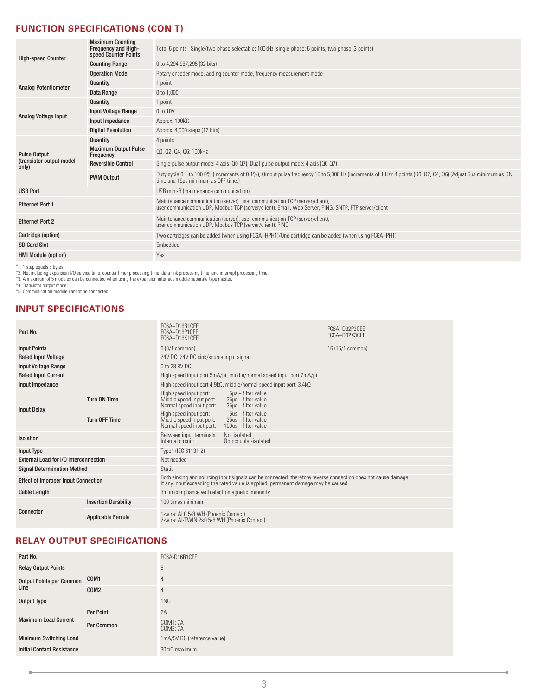### **FUNCTION SPECIFICATIONS (CON'T)**

| <b>High-speed Counter</b>          | <b>Maximum Counting</b><br><b>Frequency and High-</b><br>speed Counter Points | Total 6 points Single/two-phase selectable: 100kHz (single-phase: 6 points, two-phase: 3 points)                                                                                                      |
|------------------------------------|-------------------------------------------------------------------------------|-------------------------------------------------------------------------------------------------------------------------------------------------------------------------------------------------------|
|                                    | <b>Counting Range</b>                                                         | 0 to 4,294,967,295 (32 bits)                                                                                                                                                                          |
|                                    | <b>Operation Mode</b>                                                         | Rotary encoder mode, adding counter mode, frequency measurement mode                                                                                                                                  |
| <b>Analog Potentiometer</b>        | Quantity                                                                      | 1 point                                                                                                                                                                                               |
|                                    | Data Range                                                                    | 0 to 1,000                                                                                                                                                                                            |
|                                    | Quantity                                                                      | 1 point                                                                                                                                                                                               |
| Analog Voltage Input               | <b>Input Voltage Range</b>                                                    | 0 to 10V                                                                                                                                                                                              |
|                                    | Input Impedance                                                               | Approx. $100K\Omega$                                                                                                                                                                                  |
|                                    | <b>Digital Resolution</b>                                                     | Approx. 4,000 steps (12 bits)                                                                                                                                                                         |
|                                    | Quantity                                                                      | 4 points                                                                                                                                                                                              |
| <b>Pulse Output</b>                | <b>Maximum Output Pulse</b><br>Frequency                                      | Q0, Q2, Q4, Q6: 100kHz                                                                                                                                                                                |
| (transistor output model)<br>only) | <b>Reversible Control</b>                                                     | Single-pulse output mode: 4 axis (00-07), Dual-pulse output mode: 4 axis (00-07)                                                                                                                      |
|                                    | <b>PWM Output</b>                                                             | Duty cycle 0.1 to 100.0% (increments of 0.1%), Output pulse frequency 15 to 5,000 Hz (increments of 1 Hz): 4 points (Q0, Q2, Q4, Q6) (Adjust 5µs minimum as ON<br>time and 15µs minimum as OFF time.) |
| <b>USB Port</b>                    |                                                                               | USB mini-B (maintenance communication)                                                                                                                                                                |
| <b>Ethernet Port 1</b>             |                                                                               | Maintenance communication (server), user communication TCP (server/client),<br>user communication UDP, Modbus TCP (server/client), Email, Web Server, PING, SNTP, FTP server/client                   |
| <b>Ethernet Port 2</b>             |                                                                               | Maintenance communication (server), user communication TCP (server/client), user communication UDP, Modbus TCP (server/client), PING                                                                  |
| Cartridge (option)                 |                                                                               | Two cartridges can be added (when using FC6A-HPH1)/One cartridge can be added (when using FC6A-PH1)                                                                                                   |
| <b>SD Card Slot</b>                |                                                                               | Embedded                                                                                                                                                                                              |
| <b>HMI Module (option)</b>         |                                                                               | Yes                                                                                                                                                                                                   |
|                                    |                                                                               |                                                                                                                                                                                                       |

\*1: 1 step equals 8 bytes.<br>\*2: Not including expansion I/O service time, counter timer processing time, data link processing time, and interrupt processing time.<br>\*3: A maximum of 5 modules can be connected when using the e

#### **INPUT SPECIFICATIONS**

| Part No.                                   |                             | FC6A-D16R1CEE<br>FC6A-D16P1CEE<br>FC6A-D16K1CFF                                                                                                                                                     |                                                                                    | FC6A-D32P3CEE<br>FC6A-D32K3CFF |  |
|--------------------------------------------|-----------------------------|-----------------------------------------------------------------------------------------------------------------------------------------------------------------------------------------------------|------------------------------------------------------------------------------------|--------------------------------|--|
| <b>Input Points</b>                        |                             | 8 (8/1 common)                                                                                                                                                                                      |                                                                                    | 16 (16/1 common)               |  |
| <b>Rated Input Voltage</b>                 |                             |                                                                                                                                                                                                     | 24V DC: 24V DC sink/source input signal                                            |                                |  |
| <b>Input Voltage Range</b>                 |                             | 0 to 28.8V DC                                                                                                                                                                                       |                                                                                    |                                |  |
| <b>Rated Input Current</b>                 |                             |                                                                                                                                                                                                     | High speed input port 5mA/pt, middle/normal speed input port 7mA/pt                |                                |  |
| Input Impedance                            |                             |                                                                                                                                                                                                     | High speed input port $4.9k\Omega$ , middle/normal speed input port: 3.4k $\Omega$ |                                |  |
| <b>Input Delay</b>                         | <b>Turn ON Time</b>         | High speed input port:<br>Middle speed input port:<br>Normal speed input port:                                                                                                                      | $5\mu s$ + filter value<br>$35\mu s$ + filter value<br>$35\mu s$ + filter value    |                                |  |
|                                            | <b>Turn OFF Time</b>        | High speed input port:<br>Middle speed input port:<br>Normal speed input port:                                                                                                                      | $5us + filter value$<br>$35us + filter value$<br>100us + filter value              |                                |  |
| <b>Isolation</b>                           |                             | Not isolated<br>Between input terminals:<br>Internal circuit:<br>Optocoupler-isolated                                                                                                               |                                                                                    |                                |  |
| <b>Input Type</b>                          |                             | Type1 (IEC 61131-2)                                                                                                                                                                                 |                                                                                    |                                |  |
| External Load for I/O Interconnection      |                             | Not needed                                                                                                                                                                                          |                                                                                    |                                |  |
| <b>Signal Determination Method</b>         |                             | <b>Static</b>                                                                                                                                                                                       |                                                                                    |                                |  |
| <b>Effect of Improper Input Connection</b> |                             | Both sinking and sourcing input signals can be connected, therefore reverse connection does not cause damage.<br>If any input exceeding the rated value is applied, permanent damage may be caused. |                                                                                    |                                |  |
| <b>Cable Length</b>                        |                             | 3m in compliance with electromagnetic immunity                                                                                                                                                      |                                                                                    |                                |  |
|                                            | <b>Insertion Durability</b> | 100 times minimum                                                                                                                                                                                   |                                                                                    |                                |  |
| Connector                                  | <b>Applicable Ferrule</b>   | 1-wire: AI 0.5-8 WH (Phoenix Contact)<br>2-wire: AI-TWIN 2×0.5-8 WH (Phoenix Contact)                                                                                                               |                                                                                    |                                |  |

#### **RELAY OUTPUT SPECIFICATIONS**

| Part No.                          |                  | FC6A-D16R1CEE               |
|-----------------------------------|------------------|-----------------------------|
| <b>Relay Output Points</b>        |                  | 8                           |
| Output Points per Common COM1     |                  | 4                           |
| Line                              | COM <sub>2</sub> | $\overline{4}$              |
| Output Type                       |                  | <b>1NO</b>                  |
|                                   | Per Point        | 2A                          |
| <b>Maximum Load Current</b>       | Per Common       | COM1: 7A<br>COM2: 7A        |
| <b>Minimum Switching Load</b>     |                  | 1mA/5V DC (reference value) |
| <b>Initial Contact Resistance</b> |                  | $30 \text{m}\Omega$ maximum |

i.